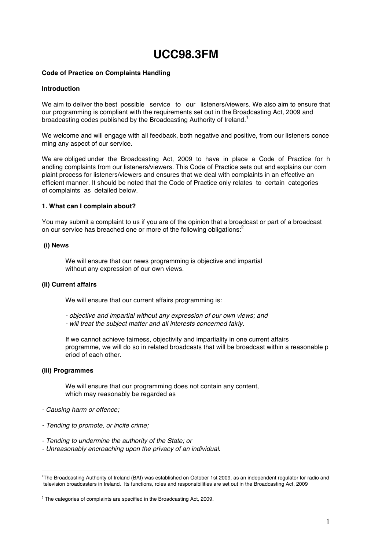# **UCC98.3FM**

## **Code of Practice on Complaints Handling**

#### **Introduction**

We aim to deliver the best possible service to our listeners/viewers. We also aim to ensure that our programming is compliant with the requirements set out in the Broadcasting Act, 2009 and broadcasting codes published by the Broadcasting Authority of Ireland.<sup>1</sup>

We welcome and will engage with all feedback, both negative and positive, from our listeners conce rning any aspect of our service.

We are obliged under the Broadcasting Act, 2009 to have in place a Code of Practice for h andling complaints from our listeners/viewers. This Code of Practice sets out and explains our com plaint process for listeners/viewers and ensures that we deal with complaints in an effective an efficient manner. It should be noted that the Code of Practice only relates to certain categories of complaints as detailed below.

#### **1. What can I complain about?**

You may submit a complaint to us if you are of the opinion that a broadcast or part of a broadcast on our service has breached one or more of the following obligations:<sup>2</sup>

## **(i) News**

We will ensure that our news programming is objective and impartial without any expression of our own views.

# **(ii) Current affairs**

We will ensure that our current affairs programming is:

- ‐ *objective and impartial without any expression of our own views; and*
- ‐ *will treat the subject matter and all interests concerned fairly.*

If we cannot achieve fairness, objectivity and impartiality in one current affairs programme, we will do so in related broadcasts that will be broadcast within a reasonable p eriod of each other.

## **(iii) Programmes**

We will ensure that our programming does not contain any content, which may reasonably be regarded as

- ‐ *Causing harm or offence;*
- ‐ *Tending to promote, or incite crime;*
- ‐ *Tending to undermine the authority of the State; or*
- ‐ *Unreasonably encroaching upon the privacy of an individual.*

 $\frac{1}{1}$ <sup>1</sup>The Broadcasting Authority of Ireland (BAI) was established on October 1st 2009, as an independent regulator for radio and television broadcasters in Ireland. Its functions, roles and responsibilities are set out in the Broadcasting Act, 2009

 $2$  The categories of complaints are specified in the Broadcasting Act, 2009.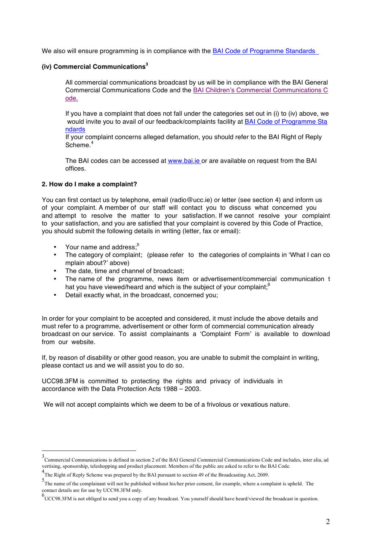We also will ensure programming is in compliance with the BAI Code of Programme Standards

# **(iv) Commercial Communications<sup>3</sup>**

All commercial communications broadcast by us will be in compliance with the BAI General Commercial Communications Code and the BAI Children's Commercial Communications C ode.

If you have a complaint that does not fall under the categories set out in (i) to (iv) above, we would invite you to avail of our feedback/complaints facility at BAI Code of Programme Sta ndards

If your complaint concerns alleged defamation, you should refer to the BAI Right of Reply Scheme.<sup>4</sup>

The BAI codes can be accessed at www.bai.ie or are available on request from the BAI offices.

## **2. How do I make a complaint?**

You can first contact us by telephone, email (radio@ucc.ie) or letter (see section 4) and inform us of your complaint. A member of our staff will contact you to discuss what concerned you and attempt to resolve the matter to your satisfaction. If we cannot resolve your complaint to your satisfaction, and you are satisfied that your complaint is covered by this Code of Practice, you should submit the following details in writing (letter, fax or email):

- Your name and address:<sup>5</sup>
- The category of complaint; (please refer to the categories of complaints in 'What I can co mplain about?' above)
- The date, time and channel of broadcast:
- The name of the programme, news item or advertisement/commercial communication t hat you have viewed/heard and which is the subject of your complaint;<sup>6</sup>
- Detail exactly what, in the broadcast, concerned you;

In order for your complaint to be accepted and considered, it must include the above details and must refer to a programme, advertisement or other form of commercial communication already broadcast on our service. To assist complainants a 'Complaint Form' is available to download from our website.

If, by reason of disability or other good reason, you are unable to submit the complaint in writing, please contact us and we will assist you to do so.

UCC98.3FM is committed to protecting the rights and privacy of individuals in accordance with the Data Protection Acts 1988 – 2003.

We will not accept complaints which we deem to be of a frivolous or vexatious nature.

 <sup>3</sup> Commercial Communications is defined in section 2 of the BAI General Commercial Communications Code and includes, inter alia, ad vertising, sponsorship, teleshopping and product placement. Members of the public are asked to refer to the BAI Code.

<sup>4</sup> The Right of Reply Scheme was prepared by the BAI pursuant to section 49 of the Broadcasting Act, 2009.

<sup>5</sup> The name of the complainant will not be published without his/her prior consent, for example, where a complaint is upheld. The contact details are for use by UCC98.3FM only.

<sup>6</sup> UCC98.3FM is not obliged to send you a copy of any broadcast. You yourself should have heard/viewed the broadcast in question.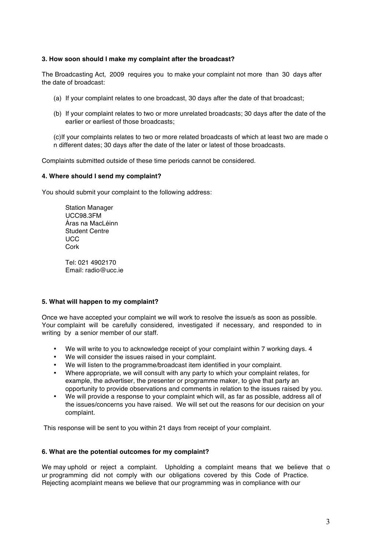## **3. How soon should I make my complaint after the broadcast?**

The Broadcasting Act, 2009 requires you to make your complaint not more than 30 days after the date of broadcast:

- (a) If your complaint relates to one broadcast, 30 days after the date of that broadcast;
- (b) If your complaint relates to two or more unrelated broadcasts; 30 days after the date of the earlier or earliest of those broadcasts;

(c)If your complaints relates to two or more related broadcasts of which at least two are made o n different dates; 30 days after the date of the later or latest of those broadcasts.

Complaints submitted outside of these time periods cannot be considered.

## **4. Where should I send my complaint?**

You should submit your complaint to the following address:

Station Manager UCC98.3FM Áras na MacLéinn Student Centre **UCC** Cork

Tel: 021 4902170 Email: radio@ucc.ie

#### **5. What will happen to my complaint?**

Once we have accepted your complaint we will work to resolve the issue/s as soon as possible. Your complaint will be carefully considered, investigated if necessary, and responded to in writing by a senior member of our staff.

- We will write to you to acknowledge receipt of your complaint within 7 working days. 4
- We will consider the issues raised in your complaint.
- We will listen to the programme/broadcast item identified in your complaint.
- Where appropriate, we will consult with any party to which your complaint relates, for example, the advertiser, the presenter or programme maker, to give that party an opportunity to provide observations and comments in relation to the issues raised by you.
- We will provide a response to your complaint which will, as far as possible, address all of the issues/concerns you have raised. We will set out the reasons for our decision on your complaint.

This response will be sent to you within 21 days from receipt of your complaint.

#### **6. What are the potential outcomes for my complaint?**

We may uphold or reject a complaint. Upholding a complaint means that we believe that o ur programming did not comply with our obligations covered by this Code of Practice. Rejecting acomplaint means we believe that our programming was in compliance with our